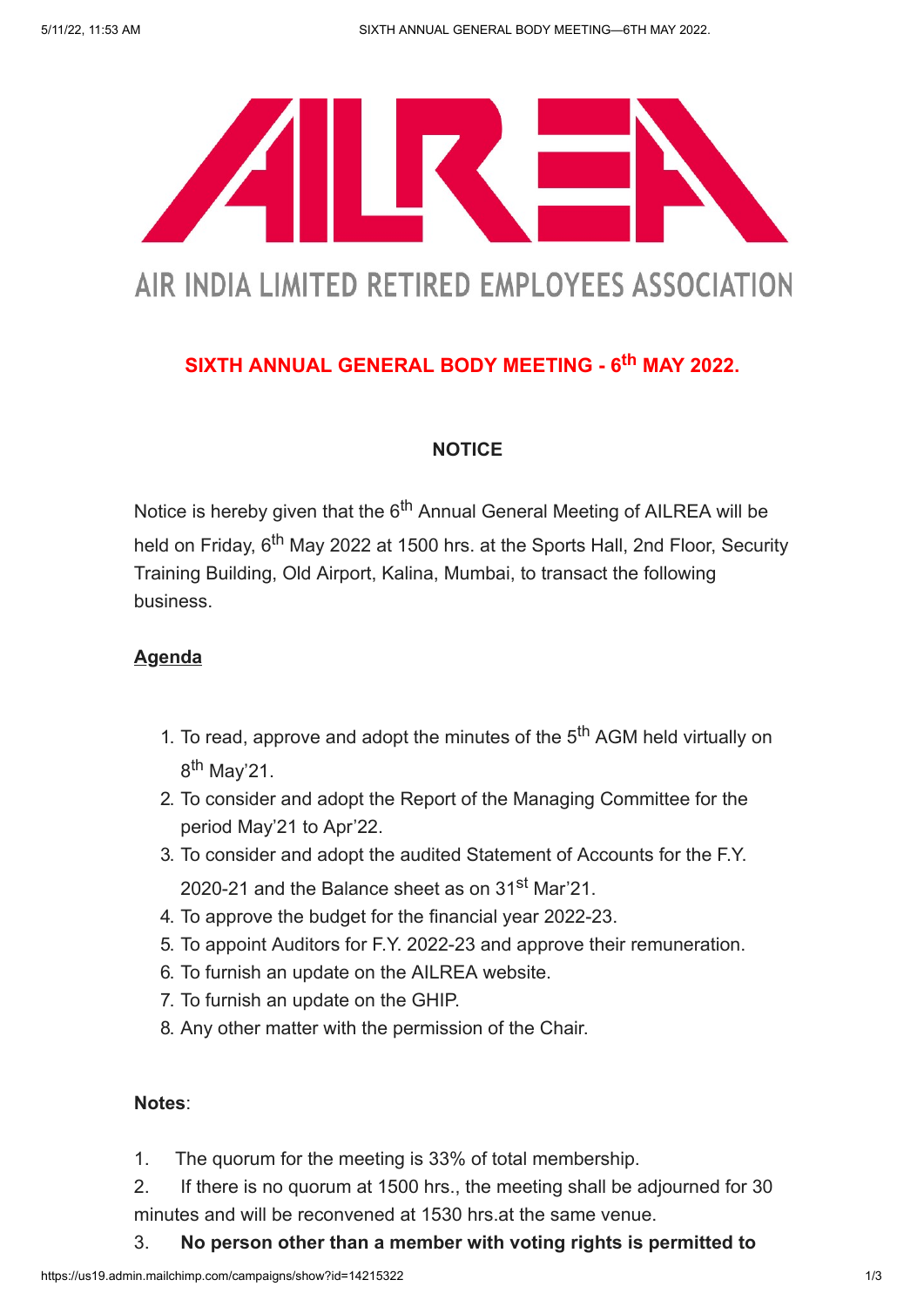

# AIR INDIA LIMITED RETIRED EMPLOYEES ASSOCIATION

## SIXTH ANNUAL GENERAL BODY MEETING - 6<sup>th</sup> MAY 2022.

## **NOTICE**

Notice is hereby given that the 6<sup>th</sup> Annual General Meeting of AILREA will be held on Friday, 6<sup>th</sup> May 2022 at 1500 hrs. at the Sports Hall, 2nd Floor, Security Training Building, Old Airport, Kalina, Mumbai, to transact the following business.

## **Agenda**

- 1. To read, approve and adopt the minutes of the  $5<sup>th</sup>$  AGM held virtually on 8<sup>th</sup> May'21.
- 2. To consider and adopt the Report of the Managing Committee for the period May'21 to Apr'22.
- 3. To consider and adopt the audited Statement of Accounts for the F.Y. 2020-21 and the Balance sheet as on 31<sup>st</sup> Mar'21.
- 4. To approve the budget for the financial year 2022-23.
- 5. To appoint Auditors for F.Y. 2022-23 and approve their remuneration.
- 6. To furnish an update on the AILREA website.
- 7. To furnish an update on the GHIP.
- 8. Any other matter with the permission of the Chair.

### Notes:

- 1. The quorum for the meeting is 33% of total membership.
- 2. If there is no quorum at 1500 hrs., the meeting shall be adjourned for 30 minutes and will be reconvened at 1530 hrs.at the same venue.
- 3. No person other than a member with voting rights is permitted to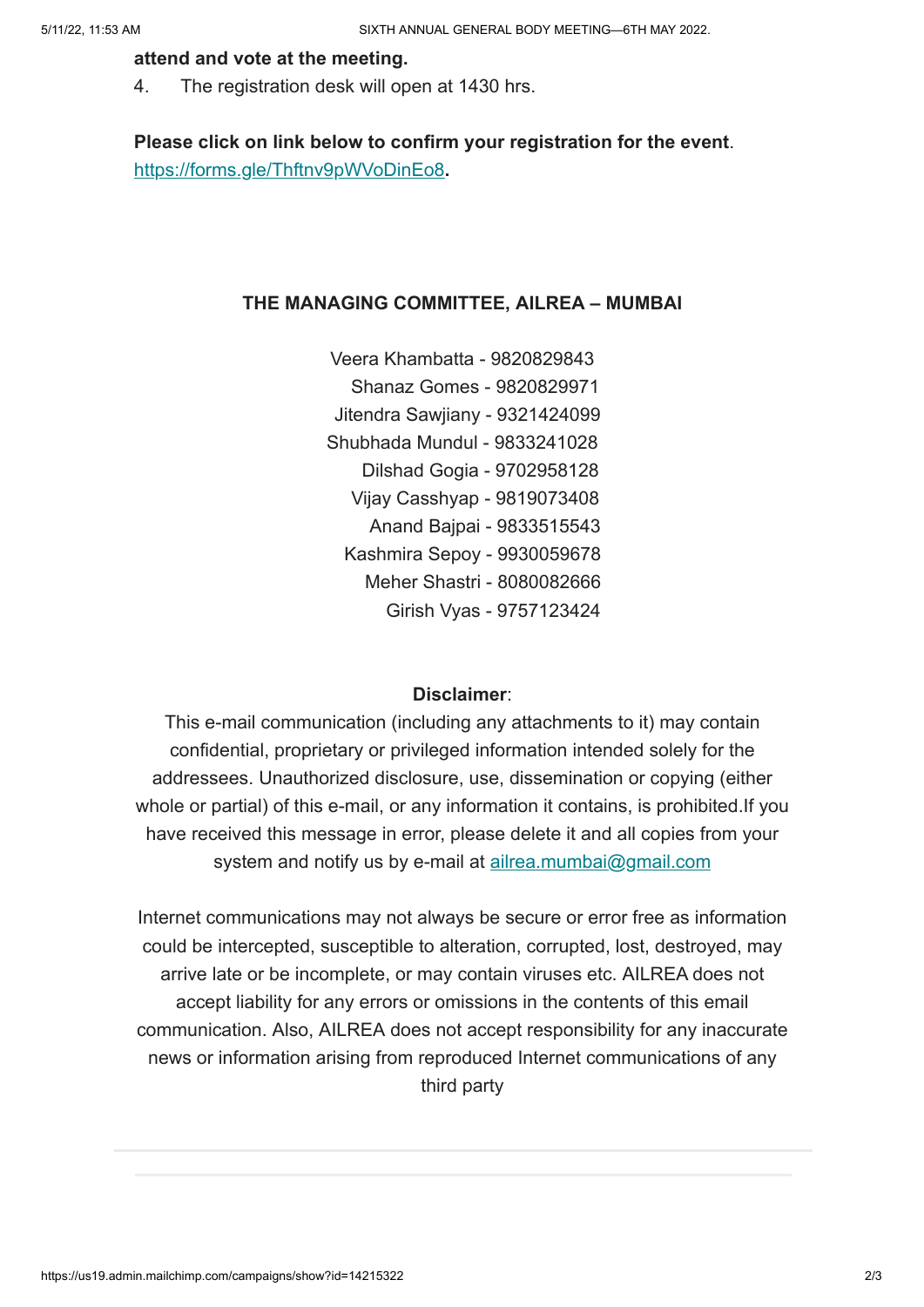#### attend and vote at the meeting.

4. The registration desk will open at 1430 hrs.

Please click on link below to confirm your registration for the event. <https://forms.gle/Thftnv9pWVoDinEo8>.

#### THE MANAGING COMMITTEE, AILREA – MUMBAI

 Veera Khambatta - 9820829843 Shanaz Gomes - 9820829971 Jitendra Sawjiany - 9321424099 Shubhada Mundul - 9833241028 Dilshad Gogia - 9702958128 Vijay Casshyap - 9819073408 Anand Bajpai - 9833515543 Kashmira Sepoy - 9930059678 Meher Shastri - 8080082666 Girish Vyas - 9757123424

#### Disclaimer:

This e-mail communication (including any attachments to it) may contain confidential, proprietary or privileged information intended solely for the addressees. Unauthorized disclosure, use, dissemination or copying (either whole or partial) of this e-mail, or any information it contains, is prohibited.If you have received this message in error, please delete it and all copies from your system and notify us by e-mail at [ailrea.mumbai@gmail.com](mailto:ailrea.mumbai@gmail.com)

Internet communications may not always be secure or error free as information could be intercepted, susceptible to alteration, corrupted, lost, destroyed, may arrive late or be incomplete, or may contain viruses etc. AILREA does not accept liability for any errors or omissions in the contents of this email communication. Also, AILREA does not accept responsibility for any inaccurate news or information arising from reproduced Internet communications of any third party